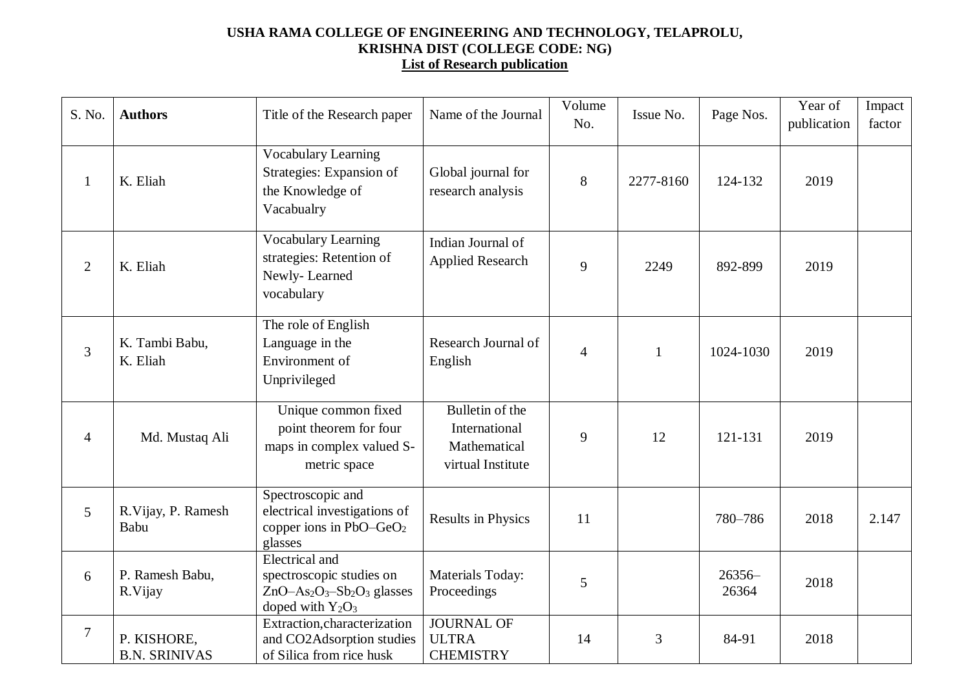## **USHA RAMA COLLEGE OF ENGINEERING AND TECHNOLOGY, TELAPROLU, KRISHNA DIST (COLLEGE CODE: NG) List of Research publication**

| S. No.         | <b>Authors</b>                      | Title of the Research paper                                                                           | Name of the Journal                                                   | Volume<br>No. | Issue No.    | Page Nos.       | Year of<br>publication | Impact<br>factor |
|----------------|-------------------------------------|-------------------------------------------------------------------------------------------------------|-----------------------------------------------------------------------|---------------|--------------|-----------------|------------------------|------------------|
| 1              | K. Eliah                            | <b>Vocabulary Learning</b><br>Strategies: Expansion of<br>the Knowledge of<br>Vacabualry              | Global journal for<br>research analysis                               | 8             | 2277-8160    | 124-132         | 2019                   |                  |
| $\overline{2}$ | K. Eliah                            | <b>Vocabulary Learning</b><br>strategies: Retention of<br>Newly-Learned<br>vocabulary                 | Indian Journal of<br><b>Applied Research</b>                          | 9             | 2249         | 892-899         | 2019                   |                  |
| 3              | K. Tambi Babu,<br>K. Eliah          | The role of English<br>Language in the<br>Environment of<br>Unprivileged                              | Research Journal of<br>English                                        | 4             | $\mathbf{1}$ | 1024-1030       | 2019                   |                  |
| $\overline{4}$ | Md. Mustaq Ali                      | Unique common fixed<br>point theorem for four<br>maps in complex valued S-<br>metric space            | Bulletin of the<br>International<br>Mathematical<br>virtual Institute | 9             | 12           | 121-131         | 2019                   |                  |
| 5              | R.Vijay, P. Ramesh<br>Babu          | Spectroscopic and<br>electrical investigations of<br>copper ions in $PbO-GeO2$<br>glasses             | <b>Results in Physics</b>                                             | 11            |              | 780-786         | 2018                   | 2.147            |
| 6              | P. Ramesh Babu,<br>R.Vijay          | <b>Electrical</b> and<br>spectroscopic studies on<br>$ZnO-As2O3-Sb2O3$ glasses<br>doped with $Y_2O_3$ | Materials Today:<br>Proceedings                                       | 5             |              | 26356-<br>26364 | 2018                   |                  |
| $\overline{7}$ | P. KISHORE,<br><b>B.N. SRINIVAS</b> | Extraction, characterization<br>and CO2Adsorption studies<br>of Silica from rice husk                 | <b>JOURNAL OF</b><br><b>ULTRA</b><br><b>CHEMISTRY</b>                 | 14            | 3            | 84-91           | 2018                   |                  |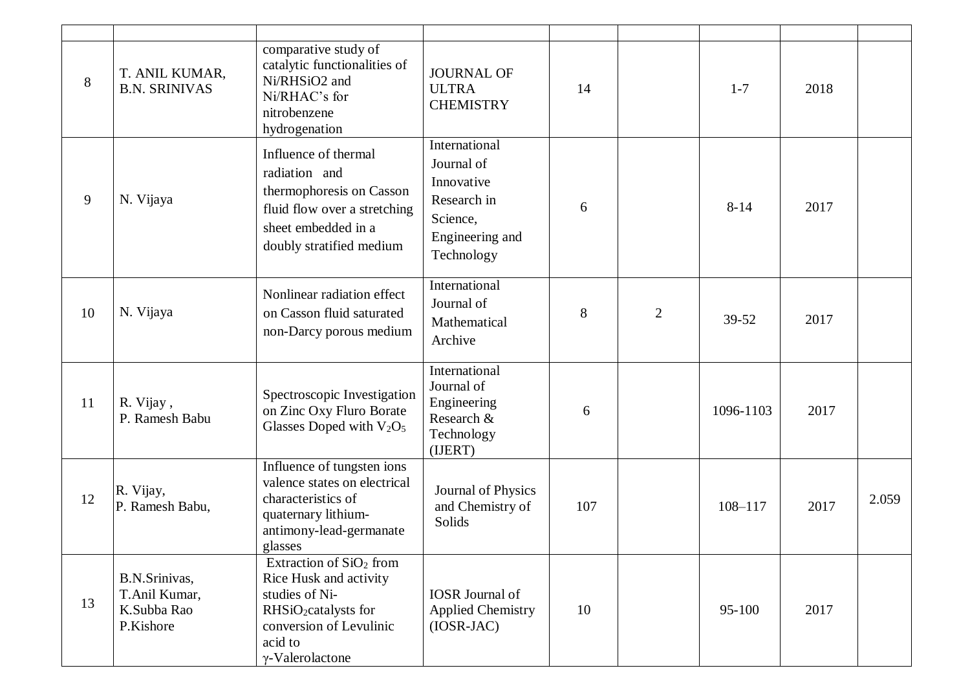| 8  | T. ANIL KUMAR,<br><b>B.N. SRINIVAS</b>                     | comparative study of<br>catalytic functionalities of<br>Ni/RHSiO2 and<br>Ni/RHAC's for<br>nitrobenzene<br>hydrogenation                                                              | <b>JOURNAL OF</b><br><b>ULTRA</b><br><b>CHEMISTRY</b>                                                 | 14  |                | $1 - 7$     | 2018 |       |
|----|------------------------------------------------------------|--------------------------------------------------------------------------------------------------------------------------------------------------------------------------------------|-------------------------------------------------------------------------------------------------------|-----|----------------|-------------|------|-------|
| 9  | N. Vijaya                                                  | Influence of thermal<br>radiation and<br>thermophoresis on Casson<br>fluid flow over a stretching<br>sheet embedded in a<br>doubly stratified medium                                 | International<br>Journal of<br>Innovative<br>Research in<br>Science,<br>Engineering and<br>Technology | 6   |                | $8 - 14$    | 2017 |       |
| 10 | N. Vijaya                                                  | Nonlinear radiation effect<br>on Casson fluid saturated<br>non-Darcy porous medium                                                                                                   | International<br>Journal of<br>Mathematical<br>Archive                                                | 8   | $\overline{2}$ | $39 - 52$   | 2017 |       |
| 11 | R. Vijay,<br>P. Ramesh Babu                                | Spectroscopic Investigation<br>on Zinc Oxy Fluro Borate<br>Glasses Doped with $V_2O_5$                                                                                               | International<br>Journal of<br>Engineering<br>Research &<br>Technology<br>(IJERT)                     | 6   |                | 1096-1103   | 2017 |       |
| 12 | R. Vijay,<br>P. Ramesh Babu,                               | Influence of tungsten ions<br>valence states on electrical<br>characteristics of<br>quaternary lithium-<br>antimony-lead-germanate<br>glasses                                        | Journal of Physics<br>and Chemistry of<br>Solids                                                      | 107 |                | $108 - 117$ | 2017 | 2.059 |
| 13 | B.N.Srinivas,<br>T.Anil Kumar,<br>K.Subba Rao<br>P.Kishore | Extraction of SiO <sub>2</sub> from<br>Rice Husk and activity<br>studies of Ni-<br>RHSiO <sub>2</sub> catalysts for<br>conversion of Levulinic<br>acid to<br>$\gamma$ -Valerolactone | <b>IOSR</b> Journal of<br><b>Applied Chemistry</b><br>$(IOSR-JAC)$                                    | 10  |                | $95-100$    | 2017 |       |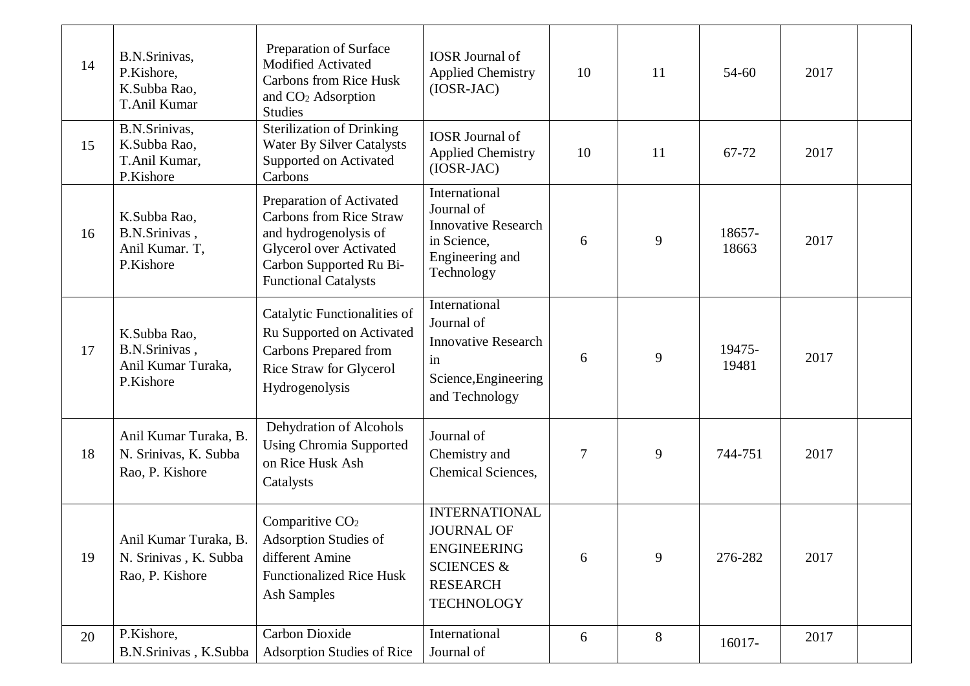| 14 | B.N.Srinivas,<br>P.Kishore,<br>K.Subba Rao,<br>T.Anil Kumar       | Preparation of Surface<br><b>Modified Activated</b><br><b>Carbons from Rice Husk</b><br>and CO <sub>2</sub> Adsorption<br><b>Studies</b>                                        | <b>IOSR</b> Journal of<br><b>Applied Chemistry</b><br>$(IOSR-JAC)$                                                               | 10 | 11 | 54-60           | 2017 |  |
|----|-------------------------------------------------------------------|---------------------------------------------------------------------------------------------------------------------------------------------------------------------------------|----------------------------------------------------------------------------------------------------------------------------------|----|----|-----------------|------|--|
| 15 | B.N.Srinivas,<br>K.Subba Rao,<br>T.Anil Kumar,<br>P.Kishore       | <b>Sterilization of Drinking</b><br>Water By Silver Catalysts<br>Supported on Activated<br>Carbons                                                                              | <b>IOSR</b> Journal of<br><b>Applied Chemistry</b><br>$(IOSR-JAC)$                                                               | 10 | 11 | 67-72           | 2017 |  |
| 16 | K.Subba Rao,<br>B.N.Srinivas,<br>Anil Kumar. T,<br>P.Kishore      | Preparation of Activated<br><b>Carbons from Rice Straw</b><br>and hydrogenolysis of<br><b>Glycerol over Activated</b><br>Carbon Supported Ru Bi-<br><b>Functional Catalysts</b> | International<br>Journal of<br><b>Innovative Research</b><br>in Science,<br>Engineering and<br>Technology                        | 6  | 9  | 18657-<br>18663 | 2017 |  |
| 17 | K.Subba Rao,<br>B.N.Srinivas,<br>Anil Kumar Turaka,<br>P.Kishore  | Catalytic Functionalities of<br>Ru Supported on Activated<br>Carbons Prepared from<br>Rice Straw for Glycerol<br>Hydrogenolysis                                                 | International<br>Journal of<br><b>Innovative Research</b><br>in<br>Science, Engineering<br>and Technology                        | 6  | 9  | 19475-<br>19481 | 2017 |  |
| 18 | Anil Kumar Turaka, B.<br>N. Srinivas, K. Subba<br>Rao, P. Kishore | Dehydration of Alcohols<br><b>Using Chromia Supported</b><br>on Rice Husk Ash<br>Catalysts                                                                                      | Journal of<br>Chemistry and<br>Chemical Sciences,                                                                                | 7  | 9  | 744-751         | 2017 |  |
| 19 | Anil Kumar Turaka, B.<br>N. Srinivas, K. Subba<br>Rao, P. Kishore | Comparitive CO <sub>2</sub><br>Adsorption Studies of<br>different Amine<br><b>Functionalized Rice Husk</b><br>Ash Samples                                                       | <b>INTERNATIONAL</b><br><b>JOURNAL OF</b><br><b>ENGINEERING</b><br><b>SCIENCES &amp;</b><br><b>RESEARCH</b><br><b>TECHNOLOGY</b> | 6  | 9  | 276-282         | 2017 |  |
| 20 | P.Kishore,<br>B.N.Srinivas, K.Subba                               | <b>Carbon Dioxide</b><br>Adsorption Studies of Rice                                                                                                                             | International<br>Journal of                                                                                                      | 6  | 8  | 16017-          | 2017 |  |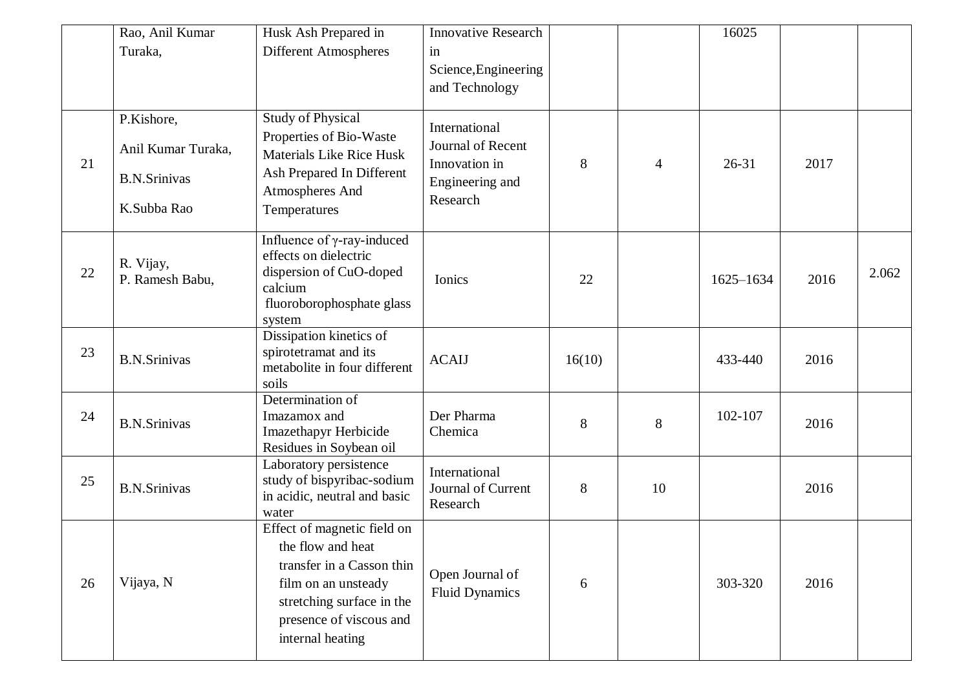|    | Rao, Anil Kumar<br>Turaka,                                             | Husk Ash Prepared in<br>Different Atmospheres                                                                                                                                    | <b>Innovative Research</b><br>in                                                   |        |                | 16025     |      |       |
|----|------------------------------------------------------------------------|----------------------------------------------------------------------------------------------------------------------------------------------------------------------------------|------------------------------------------------------------------------------------|--------|----------------|-----------|------|-------|
|    |                                                                        |                                                                                                                                                                                  | Science, Engineering<br>and Technology                                             |        |                |           |      |       |
| 21 | P.Kishore,<br>Anil Kumar Turaka,<br><b>B.N.Srinivas</b><br>K.Subba Rao | <b>Study of Physical</b><br>Properties of Bio-Waste<br><b>Materials Like Rice Husk</b><br>Ash Prepared In Different<br>Atmospheres And<br>Temperatures                           | International<br>Journal of Recent<br>Innovation in<br>Engineering and<br>Research | 8      | $\overline{4}$ | $26 - 31$ | 2017 |       |
| 22 | R. Vijay,<br>P. Ramesh Babu,                                           | Influence of $\gamma$ -ray-induced<br>effects on dielectric<br>dispersion of CuO-doped<br>calcium<br>fluoroborophosphate glass<br>system                                         | Ionics                                                                             | 22     |                | 1625-1634 | 2016 | 2.062 |
| 23 | <b>B.N.Srinivas</b>                                                    | Dissipation kinetics of<br>spirotetramat and its<br>metabolite in four different<br>soils                                                                                        | <b>ACAIJ</b>                                                                       | 16(10) |                | 433-440   | 2016 |       |
| 24 | <b>B.N.Srinivas</b>                                                    | Determination of<br>Imazamox and<br>Imazethapyr Herbicide<br>Residues in Soybean oil                                                                                             | Der Pharma<br>Chemica                                                              | 8      | 8              | 102-107   | 2016 |       |
| 25 | <b>B.N.Srinivas</b>                                                    | Laboratory persistence<br>study of bispyribac-sodium<br>in acidic, neutral and basic<br>water                                                                                    | International<br>Journal of Current<br>Research                                    | 8      | 10             |           | 2016 |       |
| 26 | Vijaya, N                                                              | Effect of magnetic field on<br>the flow and heat<br>transfer in a Casson thin<br>film on an unsteady<br>stretching surface in the<br>presence of viscous and<br>internal heating | Open Journal of<br><b>Fluid Dynamics</b>                                           | 6      |                | 303-320   | 2016 |       |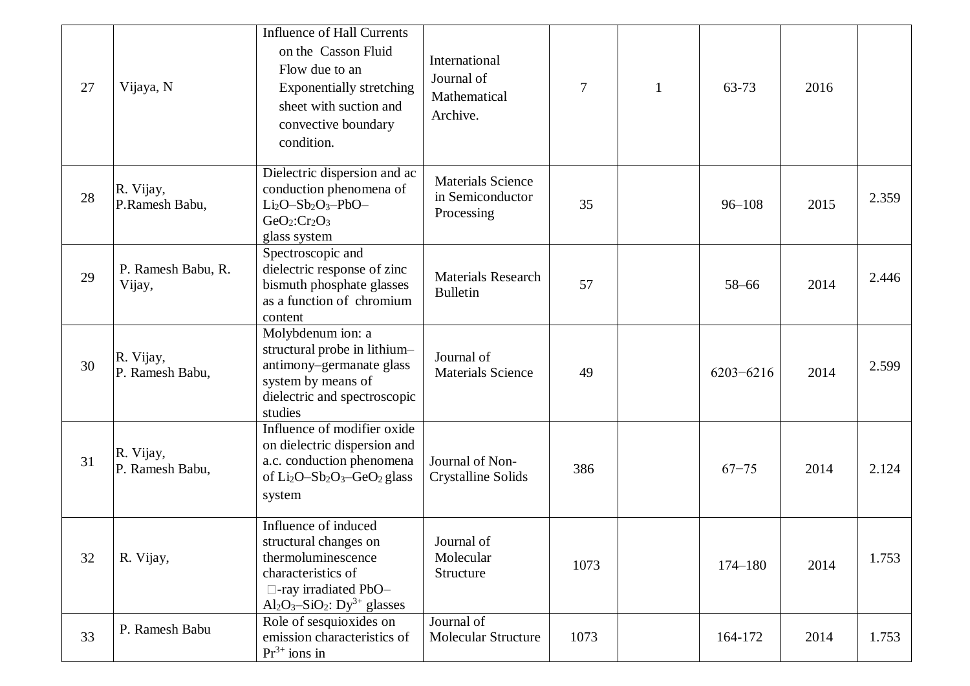| 27 | Vijaya, N                    | <b>Influence of Hall Currents</b><br>on the Casson Fluid<br>Flow due to an<br><b>Exponentially stretching</b><br>sheet with suction and<br>convective boundary<br>condition.                            | International<br>Journal of<br>Mathematical<br>Archive.    | 7    | $\mathbf{1}$ | 63-73         | 2016 |       |
|----|------------------------------|---------------------------------------------------------------------------------------------------------------------------------------------------------------------------------------------------------|------------------------------------------------------------|------|--------------|---------------|------|-------|
| 28 | R. Vijay,<br>P.Ramesh Babu,  | Dielectric dispersion and ac<br>conduction phenomena of<br>$Li_2O-Sb_2O_3-PbO-$<br>$GeO2:Cr2O3$<br>glass system                                                                                         | <b>Materials Science</b><br>in Semiconductor<br>Processing | 35   |              | $96 - 108$    | 2015 | 2.359 |
| 29 | P. Ramesh Babu, R.<br>Vijay, | Spectroscopic and<br>dielectric response of zinc<br>bismuth phosphate glasses<br>as a function of chromium<br>content                                                                                   | <b>Materials Research</b><br><b>Bulletin</b>               | 57   |              | $58 - 66$     | 2014 | 2.446 |
| 30 | R. Vijay,<br>P. Ramesh Babu, | Molybdenum ion: a<br>structural probe in lithium-<br>antimony-germanate glass<br>system by means of<br>dielectric and spectroscopic<br>studies                                                          | Journal of<br><b>Materials Science</b>                     | 49   |              | $6203 - 6216$ | 2014 | 2.599 |
| 31 | R. Vijay,<br>P. Ramesh Babu, | Influence of modifier oxide<br>on dielectric dispersion and<br>a.c. conduction phenomena<br>of Li <sub>2</sub> O-Sb <sub>2</sub> O <sub>3</sub> -GeO <sub>2</sub> glass<br>system                       | Journal of Non-<br>Crystalline Solids                      | 386  |              | $67 - 75$     | 2014 | 2.124 |
| 32 | R. Vijay,                    | Influence of induced<br>structural changes on<br>thermoluminescence<br>characteristics of<br>$\Box$ -ray irradiated PbO-<br>Al <sub>2</sub> O <sub>3</sub> -SiO <sub>2</sub> : Dy <sup>3+</sup> glasses | Journal of<br>Molecular<br>Structure                       | 1073 |              | $174 - 180$   | 2014 | 1.753 |
| 33 | P. Ramesh Babu               | Role of sesquioxides on<br>emission characteristics of<br>$Pr3+ ions in$                                                                                                                                | Journal of<br>Molecular Structure                          | 1073 |              | 164-172       | 2014 | 1.753 |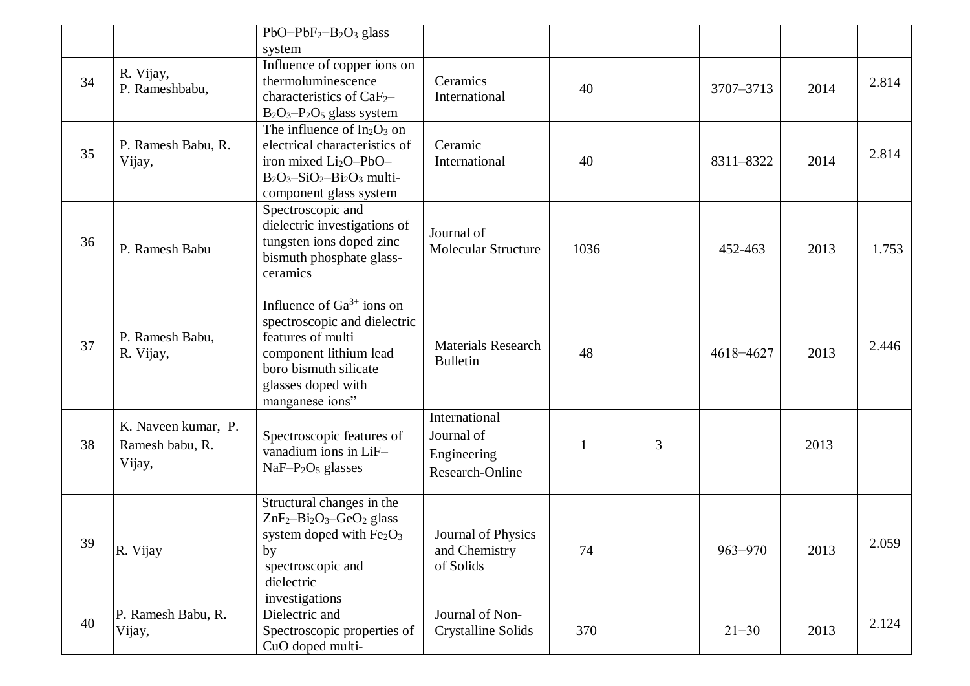|    |                                                  | $PbO-PbF2-B2O3 glass$                                                                                                                                                           |                                                               |      |   |             |      |       |
|----|--------------------------------------------------|---------------------------------------------------------------------------------------------------------------------------------------------------------------------------------|---------------------------------------------------------------|------|---|-------------|------|-------|
|    |                                                  | system                                                                                                                                                                          |                                                               |      |   |             |      |       |
| 34 | R. Vijay,<br>P. Rameshbabu,                      | Influence of copper ions on<br>thermoluminescence<br>characteristics of CaF <sub>2</sub> -<br>$B_2O_3-P_2O_5$ glass system                                                      | Ceramics<br>International                                     | 40   |   | 3707-3713   | 2014 | 2.814 |
| 35 | P. Ramesh Babu, R.<br>Vijay,                     | The influence of $In_2O_3$ on<br>electrical characteristics of<br>iron mixed Li <sub>2</sub> O-PbO-<br>$B_2O_3-SiO_2-Bi_2O_3$ multi-<br>component glass system                  | Ceramic<br>International                                      | 40   |   | 8311-8322   | 2014 | 2.814 |
| 36 | P. Ramesh Babu                                   | Spectroscopic and<br>dielectric investigations of<br>tungsten ions doped zinc<br>bismuth phosphate glass-<br>ceramics                                                           | Journal of<br><b>Molecular Structure</b>                      | 1036 |   | 452-463     | 2013 | 1.753 |
| 37 | P. Ramesh Babu,<br>R. Vijay,                     | Influence of $Ga^{3+}$ ions on<br>spectroscopic and dielectric<br>features of multi<br>component lithium lead<br>boro bismuth silicate<br>glasses doped with<br>manganese ions" | <b>Materials Research</b><br><b>Bulletin</b>                  | 48   |   | 4618-4627   | 2013 | 2.446 |
| 38 | K. Naveen kumar, P.<br>Ramesh babu, R.<br>Vijay, | Spectroscopic features of<br>vanadium ions in LiF-<br>$NaF-P2O5$ glasses                                                                                                        | International<br>Journal of<br>Engineering<br>Research-Online |      | 3 |             | 2013 |       |
| 39 | R. Vijay                                         | Structural changes in the<br>$ZnF_2-Bi_2O_3-GeO_2$ glass<br>system doped with $\rm Fe{_2}O_{3}$<br>by<br>spectroscopic and<br>dielectric<br>investigations                      | Journal of Physics<br>and Chemistry<br>of Solids              | 74   |   | $963 - 970$ | 2013 | 2.059 |
| 40 | P. Ramesh Babu, R.<br>Vijay,                     | Dielectric and<br>Spectroscopic properties of<br>CuO doped multi-                                                                                                               | Journal of Non-<br><b>Crystalline Solids</b>                  | 370  |   | $21 - 30$   | 2013 | 2.124 |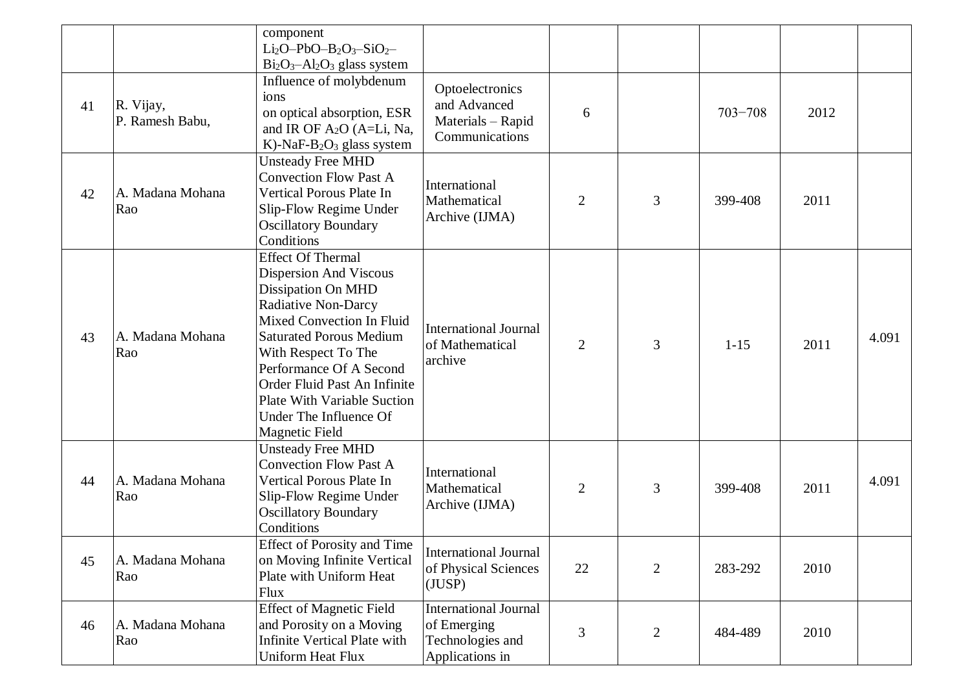|    |                              | component<br>$Li_2O-PbO-B_2O_3-SiO_2-$<br>$Bi2O3 - Al2O3 glass system$                                                                                                                                                                                                                                                                                  |                                                                                    |                |                |             |      |       |
|----|------------------------------|---------------------------------------------------------------------------------------------------------------------------------------------------------------------------------------------------------------------------------------------------------------------------------------------------------------------------------------------------------|------------------------------------------------------------------------------------|----------------|----------------|-------------|------|-------|
| 41 | R. Vijay,<br>P. Ramesh Babu, | Influence of molybdenum<br>ions<br>on optical absorption, ESR<br>and IR OF $A_2O$ (A=Li, Na,<br>K)-NaF-B <sub>2</sub> O <sub>3</sub> glass system                                                                                                                                                                                                       | Optoelectronics<br>and Advanced<br>Materials - Rapid<br>Communications             | 6              |                | $703 - 708$ | 2012 |       |
| 42 | A. Madana Mohana<br>Rao      | <b>Unsteady Free MHD</b><br><b>Convection Flow Past A</b><br>Vertical Porous Plate In<br>Slip-Flow Regime Under<br><b>Oscillatory Boundary</b><br>Conditions                                                                                                                                                                                            | International<br>Mathematical<br>Archive (IJMA)                                    | $\overline{2}$ | 3              | 399-408     | 2011 |       |
| 43 | A. Madana Mohana<br>Rao      | <b>Effect Of Thermal</b><br>Dispersion And Viscous<br><b>Dissipation On MHD</b><br><b>Radiative Non-Darcy</b><br>Mixed Convection In Fluid<br><b>Saturated Porous Medium</b><br>With Respect To The<br>Performance Of A Second<br>Order Fluid Past An Infinite<br><b>Plate With Variable Suction</b><br>Under The Influence Of<br><b>Magnetic Field</b> | <b>International Journal</b><br>of Mathematical<br>archive                         | $\overline{2}$ | 3              | $1 - 15$    | 2011 | 4.091 |
| 44 | A. Madana Mohana<br>Rao      | <b>Unsteady Free MHD</b><br><b>Convection Flow Past A</b><br>Vertical Porous Plate In<br>Slip-Flow Regime Under<br><b>Oscillatory Boundary</b><br>Conditions                                                                                                                                                                                            | International<br>Mathematical<br>Archive (IJMA)                                    | $\overline{2}$ | 3              | 399-408     | 2011 | 4.091 |
| 45 | A. Madana Mohana<br>Rao      | <b>Effect of Porosity and Time</b><br>on Moving Infinite Vertical<br>Plate with Uniform Heat<br>Flux                                                                                                                                                                                                                                                    | <b>International Journal</b><br>of Physical Sciences<br>(JUSP)                     | $22\,$         | $\overline{2}$ | 283-292     | 2010 |       |
| 46 | A. Madana Mohana<br>Rao      | <b>Effect of Magnetic Field</b><br>and Porosity on a Moving<br><b>Infinite Vertical Plate with</b><br>Uniform Heat Flux                                                                                                                                                                                                                                 | <b>International Journal</b><br>of Emerging<br>Technologies and<br>Applications in | 3              | $\overline{2}$ | 484-489     | 2010 |       |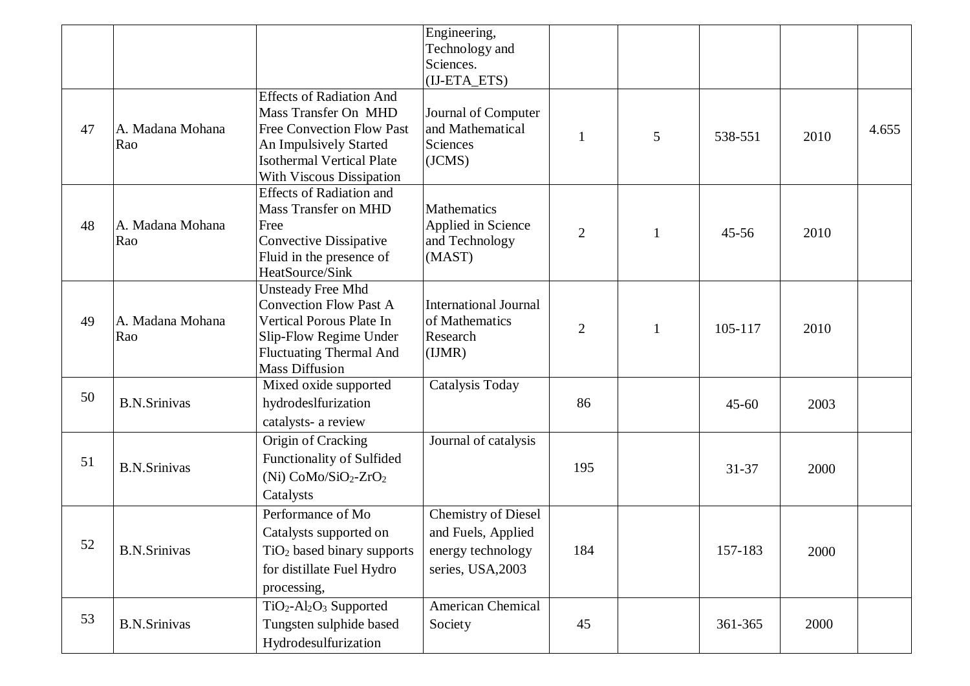|    |                         |                                                                                                                                                                                       | Engineering,<br>Technology and<br>Sciences.<br>(IJ-ETA_ETS)                                |                |              |           |      |       |
|----|-------------------------|---------------------------------------------------------------------------------------------------------------------------------------------------------------------------------------|--------------------------------------------------------------------------------------------|----------------|--------------|-----------|------|-------|
| 47 | A. Madana Mohana<br>Rao | <b>Effects of Radiation And</b><br>Mass Transfer On MHD<br><b>Free Convection Flow Past</b><br>An Impulsively Started<br><b>Isothermal Vertical Plate</b><br>With Viscous Dissipation | Journal of Computer<br>and Mathematical<br>Sciences<br>(JCMS)                              | $\mathbf{1}$   | 5            | 538-551   | 2010 | 4.655 |
| 48 | A. Madana Mohana<br>Rao | <b>Effects of Radiation and</b><br><b>Mass Transfer on MHD</b><br>Free<br>Convective Dissipative<br>Fluid in the presence of<br>HeatSource/Sink                                       | Mathematics<br>Applied in Science<br>and Technology<br>(MAST)                              | $\overline{2}$ | $\mathbf{1}$ | $45 - 56$ | 2010 |       |
| 49 | A. Madana Mohana<br>Rao | <b>Unsteady Free Mhd</b><br>Convection Flow Past A<br>Vertical Porous Plate In<br>Slip-Flow Regime Under<br><b>Fluctuating Thermal And</b><br><b>Mass Diffusion</b>                   | <b>International Journal</b><br>of Mathematics<br>Research<br>(IJMR)                       | 2              | $\mathbf{1}$ | 105-117   | 2010 |       |
| 50 | <b>B.N.Srinivas</b>     | Mixed oxide supported<br>hydrodeslfurization<br>catalysts- a review                                                                                                                   | <b>Catalysis Today</b>                                                                     | 86             |              | $45 - 60$ | 2003 |       |
| 51 | <b>B.N.Srinivas</b>     | Origin of Cracking<br>Functionality of Sulfided<br>(Ni) $CoMo/SiO2-ZrO2$<br>Catalysts                                                                                                 | Journal of catalysis                                                                       | 195            |              | $31 - 37$ | 2000 |       |
| 52 | <b>B.N.Srinivas</b>     | Performance of Mo<br>Catalysts supported on<br>$TiO2$ based binary supports<br>for distillate Fuel Hydro<br>processing,                                                               | <b>Chemistry of Diesel</b><br>and Fuels, Applied<br>energy technology<br>series, USA, 2003 | 184            |              | 157-183   | 2000 |       |
| 53 | <b>B.N.Srinivas</b>     | TiO <sub>2</sub> -Al <sub>2</sub> O <sub>3</sub> Supported<br>Tungsten sulphide based<br>Hydrodesulfurization                                                                         | <b>American Chemical</b><br>Society                                                        | 45             |              | 361-365   | 2000 |       |